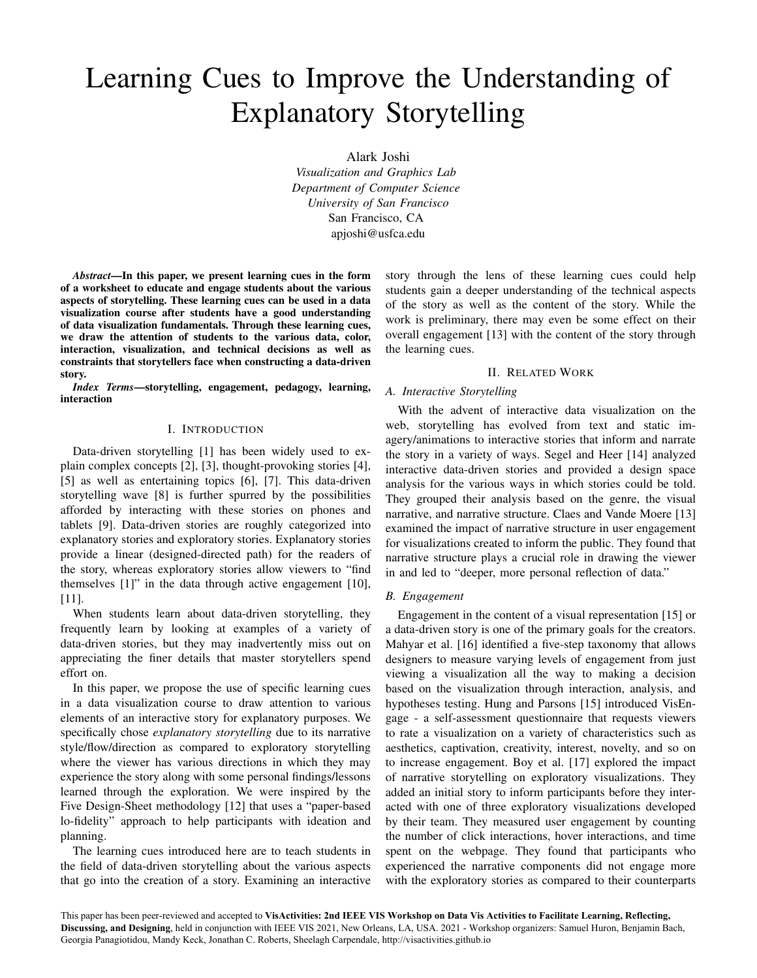# Learning Cues to Improve the Understanding of Explanatory Storytelling

Alark Joshi

*Visualization and Graphics Lab Department of Computer Science University of San Francisco* San Francisco, CA apjoshi@usfca.edu

*Abstract*—In this paper, we present learning cues in the form of a worksheet to educate and engage students about the various aspects of storytelling. These learning cues can be used in a data visualization course after students have a good understanding of data visualization fundamentals. Through these learning cues, we draw the attention of students to the various data, color, interaction, visualization, and technical decisions as well as constraints that storytellers face when constructing a data-driven story.

*Index Terms*—storytelling, engagement, pedagogy, learning, interaction

#### I. INTRODUCTION

Data-driven storytelling [1] has been widely used to explain complex concepts [2], [3], thought-provoking stories [4], [5] as well as entertaining topics [6], [7]. This data-driven storytelling wave [8] is further spurred by the possibilities afforded by interacting with these stories on phones and tablets [9]. Data-driven stories are roughly categorized into explanatory stories and exploratory stories. Explanatory stories provide a linear (designed-directed path) for the readers of the story, whereas exploratory stories allow viewers to "find themselves [1]" in the data through active engagement [10], [11].

When students learn about data-driven storytelling, they frequently learn by looking at examples of a variety of data-driven stories, but they may inadvertently miss out on appreciating the finer details that master storytellers spend effort on.

In this paper, we propose the use of specific learning cues in a data visualization course to draw attention to various elements of an interactive story for explanatory purposes. We specifically chose *explanatory storytelling* due to its narrative style/flow/direction as compared to exploratory storytelling where the viewer has various directions in which they may experience the story along with some personal findings/lessons learned through the exploration. We were inspired by the Five Design-Sheet methodology [12] that uses a "paper-based lo-fidelity" approach to help participants with ideation and planning.

The learning cues introduced here are to teach students in the field of data-driven storytelling about the various aspects that go into the creation of a story. Examining an interactive story through the lens of these learning cues could help students gain a deeper understanding of the technical aspects of the story as well as the content of the story. While the work is preliminary, there may even be some effect on their overall engagement [13] with the content of the story through the learning cues.

#### II. RELATED WORK

## *A. Interactive Storytelling*

With the advent of interactive data visualization on the web, storytelling has evolved from text and static imagery/animations to interactive stories that inform and narrate the story in a variety of ways. Segel and Heer [14] analyzed interactive data-driven stories and provided a design space analysis for the various ways in which stories could be told. They grouped their analysis based on the genre, the visual narrative, and narrative structure. Claes and Vande Moere [13] examined the impact of narrative structure in user engagement for visualizations created to inform the public. They found that narrative structure plays a crucial role in drawing the viewer in and led to "deeper, more personal reflection of data."

## *B. Engagement*

Engagement in the content of a visual representation [15] or a data-driven story is one of the primary goals for the creators. Mahyar et al. [16] identified a five-step taxonomy that allows designers to measure varying levels of engagement from just viewing a visualization all the way to making a decision based on the visualization through interaction, analysis, and hypotheses testing. Hung and Parsons [15] introduced VisEngage - a self-assessment questionnaire that requests viewers to rate a visualization on a variety of characteristics such as aesthetics, captivation, creativity, interest, novelty, and so on to increase engagement. Boy et al. [17] explored the impact of narrative storytelling on exploratory visualizations. They added an initial story to inform participants before they interacted with one of three exploratory visualizations developed by their team. They measured user engagement by counting the number of click interactions, hover interactions, and time spent on the webpage. They found that participants who experienced the narrative components did not engage more with the exploratory stories as compared to their counterparts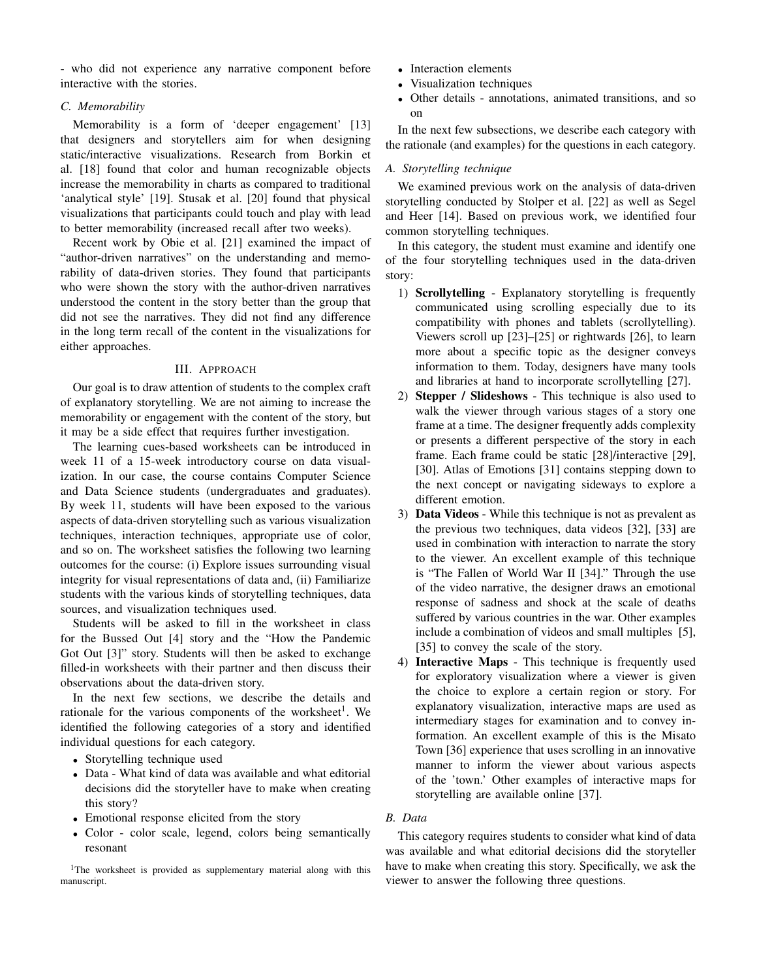- who did not experience any narrative component before interactive with the stories.

#### *C. Memorability*

Memorability is a form of 'deeper engagement' [13] that designers and storytellers aim for when designing static/interactive visualizations. Research from Borkin et al. [18] found that color and human recognizable objects increase the memorability in charts as compared to traditional 'analytical style' [19]. Stusak et al. [20] found that physical visualizations that participants could touch and play with lead to better memorability (increased recall after two weeks).

Recent work by Obie et al. [21] examined the impact of "author-driven narratives" on the understanding and memorability of data-driven stories. They found that participants who were shown the story with the author-driven narratives understood the content in the story better than the group that did not see the narratives. They did not find any difference in the long term recall of the content in the visualizations for either approaches.

#### III. APPROACH

Our goal is to draw attention of students to the complex craft of explanatory storytelling. We are not aiming to increase the memorability or engagement with the content of the story, but it may be a side effect that requires further investigation.

The learning cues-based worksheets can be introduced in week 11 of a 15-week introductory course on data visualization. In our case, the course contains Computer Science and Data Science students (undergraduates and graduates). By week 11, students will have been exposed to the various aspects of data-driven storytelling such as various visualization techniques, interaction techniques, appropriate use of color, and so on. The worksheet satisfies the following two learning outcomes for the course: (i) Explore issues surrounding visual integrity for visual representations of data and, (ii) Familiarize students with the various kinds of storytelling techniques, data sources, and visualization techniques used.

Students will be asked to fill in the worksheet in class for the Bussed Out [4] story and the "How the Pandemic Got Out [3]" story. Students will then be asked to exchange filled-in worksheets with their partner and then discuss their observations about the data-driven story.

In the next few sections, we describe the details and rationale for the various components of the worksheet<sup>1</sup>. We identified the following categories of a story and identified individual questions for each category.

- Storytelling technique used
- Data What kind of data was available and what editorial decisions did the storyteller have to make when creating this story?
- Emotional response elicited from the story
- Color color scale, legend, colors being semantically resonant

<sup>1</sup>The worksheet is provided as supplementary material along with this manuscript.

- Interaction elements
- Visualization techniques
- Other details annotations, animated transitions, and so on

In the next few subsections, we describe each category with the rationale (and examples) for the questions in each category.

### *A. Storytelling technique*

We examined previous work on the analysis of data-driven storytelling conducted by Stolper et al. [22] as well as Segel and Heer [14]. Based on previous work, we identified four common storytelling techniques.

In this category, the student must examine and identify one of the four storytelling techniques used in the data-driven story:

- 1) Scrollytelling Explanatory storytelling is frequently communicated using scrolling especially due to its compatibility with phones and tablets (scrollytelling). Viewers scroll up [23]–[25] or rightwards [26], to learn more about a specific topic as the designer conveys information to them. Today, designers have many tools and libraries at hand to incorporate scrollytelling [27].
- 2) Stepper / Slideshows This technique is also used to walk the viewer through various stages of a story one frame at a time. The designer frequently adds complexity or presents a different perspective of the story in each frame. Each frame could be static [28]/interactive [29], [30]. Atlas of Emotions [31] contains stepping down to the next concept or navigating sideways to explore a different emotion.
- 3) Data Videos While this technique is not as prevalent as the previous two techniques, data videos [32], [33] are used in combination with interaction to narrate the story to the viewer. An excellent example of this technique is "The Fallen of World War II [34]." Through the use of the video narrative, the designer draws an emotional response of sadness and shock at the scale of deaths suffered by various countries in the war. Other examples include a combination of videos and small multiples [5], [35] to convey the scale of the story.
- 4) Interactive Maps This technique is frequently used for exploratory visualization where a viewer is given the choice to explore a certain region or story. For explanatory visualization, interactive maps are used as intermediary stages for examination and to convey information. An excellent example of this is the Misato Town [36] experience that uses scrolling in an innovative manner to inform the viewer about various aspects of the 'town.' Other examples of interactive maps for storytelling are available online [37].

#### *B. Data*

This category requires students to consider what kind of data was available and what editorial decisions did the storyteller have to make when creating this story. Specifically, we ask the viewer to answer the following three questions.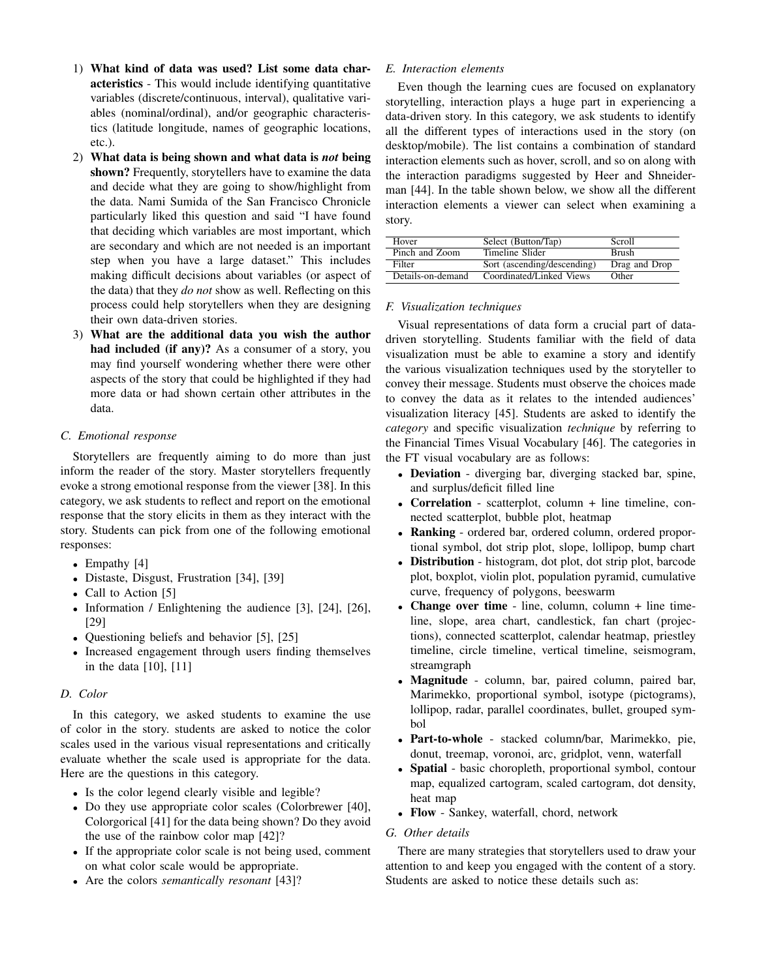- 1) What kind of data was used? List some data characteristics - This would include identifying quantitative variables (discrete/continuous, interval), qualitative variables (nominal/ordinal), and/or geographic characteristics (latitude longitude, names of geographic locations, etc.).
- 2) What data is being shown and what data is *not* being shown? Frequently, storytellers have to examine the data and decide what they are going to show/highlight from the data. Nami Sumida of the San Francisco Chronicle particularly liked this question and said "I have found that deciding which variables are most important, which are secondary and which are not needed is an important step when you have a large dataset." This includes making difficult decisions about variables (or aspect of the data) that they *do not* show as well. Reflecting on this process could help storytellers when they are designing their own data-driven stories.
- 3) What are the additional data you wish the author had included (if any)? As a consumer of a story, you may find yourself wondering whether there were other aspects of the story that could be highlighted if they had more data or had shown certain other attributes in the data.

## *C. Emotional response*

Storytellers are frequently aiming to do more than just inform the reader of the story. Master storytellers frequently evoke a strong emotional response from the viewer [38]. In this category, we ask students to reflect and report on the emotional response that the story elicits in them as they interact with the story. Students can pick from one of the following emotional responses:

- Empathy [4]
- Distaste, Disgust, Frustration [34], [39]
- Call to Action [5]
- Information / Enlightening the audience [3], [24], [26], [29]
- Questioning beliefs and behavior [5], [25]
- Increased engagement through users finding themselves in the data [10], [11]

## *D. Color*

In this category, we asked students to examine the use of color in the story. students are asked to notice the color scales used in the various visual representations and critically evaluate whether the scale used is appropriate for the data. Here are the questions in this category.

- Is the color legend clearly visible and legible?
- Do they use appropriate color scales (Colorbrewer [40], Colorgorical [41] for the data being shown? Do they avoid the use of the rainbow color map [42]?
- If the appropriate color scale is not being used, comment on what color scale would be appropriate.
- Are the colors *semantically resonant* [43]?

## *E. Interaction elements*

Even though the learning cues are focused on explanatory storytelling, interaction plays a huge part in experiencing a data-driven story. In this category, we ask students to identify all the different types of interactions used in the story (on desktop/mobile). The list contains a combination of standard interaction elements such as hover, scroll, and so on along with the interaction paradigms suggested by Heer and Shneiderman [44]. In the table shown below, we show all the different interaction elements a viewer can select when examining a story.

| Hover             | Select (Button/Tap)         | Scroll        |
|-------------------|-----------------------------|---------------|
| Pinch and Zoom    | Timeline Slider             | <b>Brush</b>  |
| Filter            | Sort (ascending/descending) | Drag and Drop |
| Details-on-demand | Coordinated/Linked Views    | Other         |

## *F. Visualization techniques*

Visual representations of data form a crucial part of datadriven storytelling. Students familiar with the field of data visualization must be able to examine a story and identify the various visualization techniques used by the storyteller to convey their message. Students must observe the choices made to convey the data as it relates to the intended audiences' visualization literacy [45]. Students are asked to identify the *category* and specific visualization *technique* by referring to the Financial Times Visual Vocabulary [46]. The categories in the FT visual vocabulary are as follows:

- Deviation diverging bar, diverging stacked bar, spine, and surplus/deficit filled line
- Correlation scatterplot, column + line timeline, connected scatterplot, bubble plot, heatmap
- Ranking ordered bar, ordered column, ordered proportional symbol, dot strip plot, slope, lollipop, bump chart
- Distribution histogram, dot plot, dot strip plot, barcode plot, boxplot, violin plot, population pyramid, cumulative curve, frequency of polygons, beeswarm
- Change over time line, column, column + line timeline, slope, area chart, candlestick, fan chart (projections), connected scatterplot, calendar heatmap, priestley timeline, circle timeline, vertical timeline, seismogram, streamgraph
- Magnitude column, bar, paired column, paired bar, Marimekko, proportional symbol, isotype (pictograms), lollipop, radar, parallel coordinates, bullet, grouped symbol
- Part-to-whole stacked column/bar, Marimekko, pie, donut, treemap, voronoi, arc, gridplot, venn, waterfall
- Spatial basic choropleth, proportional symbol, contour map, equalized cartogram, scaled cartogram, dot density, heat map
- Flow Sankey, waterfall, chord, network

## *G. Other details*

There are many strategies that storytellers used to draw your attention to and keep you engaged with the content of a story. Students are asked to notice these details such as: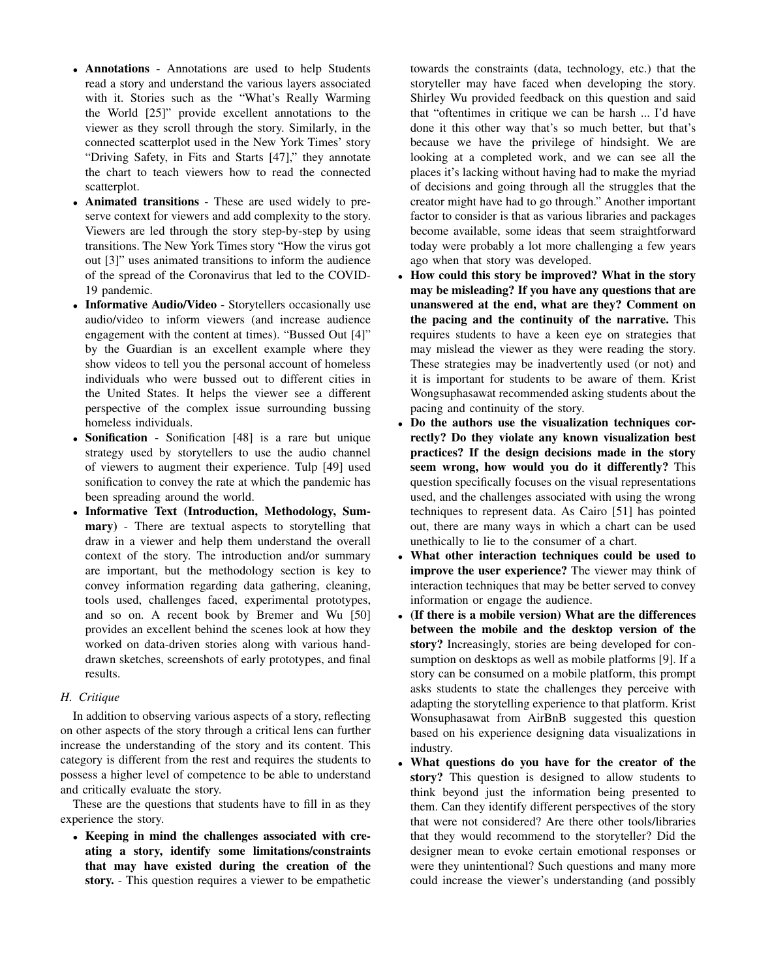- Annotations Annotations are used to help Students read a story and understand the various layers associated with it. Stories such as the "What's Really Warming the World [25]" provide excellent annotations to the viewer as they scroll through the story. Similarly, in the connected scatterplot used in the New York Times' story "Driving Safety, in Fits and Starts [47]," they annotate the chart to teach viewers how to read the connected scatterplot.
- Animated transitions These are used widely to preserve context for viewers and add complexity to the story. Viewers are led through the story step-by-step by using transitions. The New York Times story "How the virus got out [3]" uses animated transitions to inform the audience of the spread of the Coronavirus that led to the COVID-19 pandemic.
- Informative Audio/Video Storytellers occasionally use audio/video to inform viewers (and increase audience engagement with the content at times). "Bussed Out [4]" by the Guardian is an excellent example where they show videos to tell you the personal account of homeless individuals who were bussed out to different cities in the United States. It helps the viewer see a different perspective of the complex issue surrounding bussing homeless individuals.
- Sonification Sonification [48] is a rare but unique strategy used by storytellers to use the audio channel of viewers to augment their experience. Tulp [49] used sonification to convey the rate at which the pandemic has been spreading around the world.
- Informative Text (Introduction, Methodology, Summary) - There are textual aspects to storytelling that draw in a viewer and help them understand the overall context of the story. The introduction and/or summary are important, but the methodology section is key to convey information regarding data gathering, cleaning, tools used, challenges faced, experimental prototypes, and so on. A recent book by Bremer and Wu [50] provides an excellent behind the scenes look at how they worked on data-driven stories along with various handdrawn sketches, screenshots of early prototypes, and final results.

## *H. Critique*

In addition to observing various aspects of a story, reflecting on other aspects of the story through a critical lens can further increase the understanding of the story and its content. This category is different from the rest and requires the students to possess a higher level of competence to be able to understand and critically evaluate the story.

These are the questions that students have to fill in as they experience the story.

• Keeping in mind the challenges associated with creating a story, identify some limitations/constraints that may have existed during the creation of the story. - This question requires a viewer to be empathetic

towards the constraints (data, technology, etc.) that the storyteller may have faced when developing the story. Shirley Wu provided feedback on this question and said that "oftentimes in critique we can be harsh ... I'd have done it this other way that's so much better, but that's because we have the privilege of hindsight. We are looking at a completed work, and we can see all the places it's lacking without having had to make the myriad of decisions and going through all the struggles that the creator might have had to go through." Another important factor to consider is that as various libraries and packages become available, some ideas that seem straightforward today were probably a lot more challenging a few years ago when that story was developed.

- How could this story be improved? What in the story may be misleading? If you have any questions that are unanswered at the end, what are they? Comment on the pacing and the continuity of the narrative. This requires students to have a keen eye on strategies that may mislead the viewer as they were reading the story. These strategies may be inadvertently used (or not) and it is important for students to be aware of them. Krist Wongsuphasawat recommended asking students about the pacing and continuity of the story.
- Do the authors use the visualization techniques correctly? Do they violate any known visualization best practices? If the design decisions made in the story seem wrong, how would you do it differently? This question specifically focuses on the visual representations used, and the challenges associated with using the wrong techniques to represent data. As Cairo [51] has pointed out, there are many ways in which a chart can be used unethically to lie to the consumer of a chart.
- What other interaction techniques could be used to improve the user experience? The viewer may think of interaction techniques that may be better served to convey information or engage the audience.
- (If there is a mobile version) What are the differences between the mobile and the desktop version of the story? Increasingly, stories are being developed for consumption on desktops as well as mobile platforms [9]. If a story can be consumed on a mobile platform, this prompt asks students to state the challenges they perceive with adapting the storytelling experience to that platform. Krist Wonsuphasawat from AirBnB suggested this question based on his experience designing data visualizations in industry.
- What questions do you have for the creator of the story? This question is designed to allow students to think beyond just the information being presented to them. Can they identify different perspectives of the story that were not considered? Are there other tools/libraries that they would recommend to the storyteller? Did the designer mean to evoke certain emotional responses or were they unintentional? Such questions and many more could increase the viewer's understanding (and possibly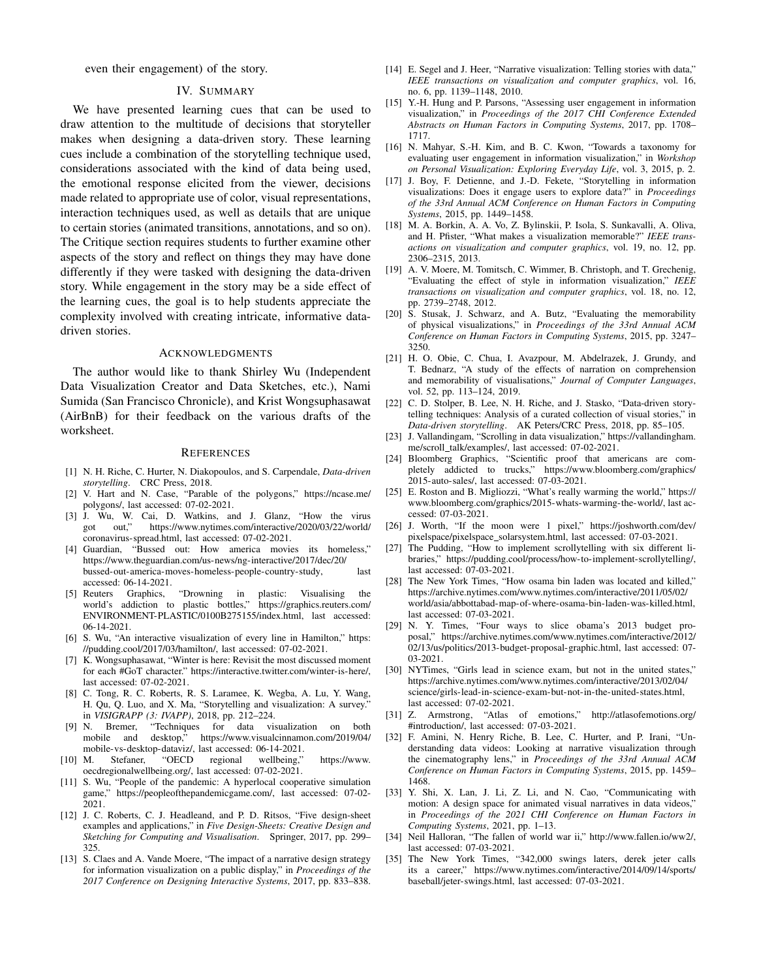even their engagement) of the story.

#### IV. SUMMARY

We have presented learning cues that can be used to draw attention to the multitude of decisions that storyteller makes when designing a data-driven story. These learning cues include a combination of the storytelling technique used, considerations associated with the kind of data being used, the emotional response elicited from the viewer, decisions made related to appropriate use of color, visual representations, interaction techniques used, as well as details that are unique to certain stories (animated transitions, annotations, and so on). The Critique section requires students to further examine other aspects of the story and reflect on things they may have done differently if they were tasked with designing the data-driven story. While engagement in the story may be a side effect of the learning cues, the goal is to help students appreciate the complexity involved with creating intricate, informative datadriven stories.

#### ACKNOWLEDGMENTS

The author would like to thank Shirley Wu (Independent Data Visualization Creator and Data Sketches, etc.), Nami Sumida (San Francisco Chronicle), and Krist Wongsuphasawat (AirBnB) for their feedback on the various drafts of the worksheet.

#### **REFERENCES**

- [1] N. H. Riche, C. Hurter, N. Diakopoulos, and S. Carpendale, *Data-driven storytelling*. CRC Press, 2018.
- [2] V. Hart and N. Case, "Parable of the polygons," https://ncase.me/ polygons/, last accessed: 07-02-2021.
- [3] J. Wu, W. Cai, D. Watkins, and J. Glanz, "How the virus got out," https://www.nytimes.com/interactive/2020/03/22/world/ coronavirus-spread.html, last accessed: 07-02-2021.
- [4] Guardian, "Bussed out: How america movies its homeless," https://www.theguardian.com/us-news/ng-interactive/2017/dec/20/ bussed-out-america-moves-homeless-people-country-study, last accessed: 06-14-2021.<br>[5] Reuters Graphics,
- [5] Reuters Graphics, "Drowning in plastic: Visualising the world's addiction to plastic bottles," https://graphics.reuters.com/ ENVIRONMENT-PLASTIC/0100B275155/index.html, last accessed: 06-14-2021.
- [6] S. Wu, "An interactive visualization of every line in Hamilton," https: //pudding.cool/2017/03/hamilton/, last accessed: 07-02-2021.
- [7] K. Wongsuphasawat, "Winter is here: Revisit the most discussed moment for each #GoT character." https://interactive.twitter.com/winter-is-here/, last accessed: 07-02-2021.
- [8] C. Tong, R. C. Roberts, R. S. Laramee, K. Wegba, A. Lu, Y. Wang, H. Qu, Q. Luo, and X. Ma, "Storytelling and visualization: A survey." in *VISIGRAPP (3: IVAPP)*, 2018, pp. 212–224.
- [9] N. Bremer, "Techniques for data visualization on both mobile and desktop," https://www.visualcinnamon.com/2019/04/ mobile and desktop," https://www.visualcinnamon.com/2019/04/ mobile-vs-desktop-dataviz/, last accessed: 06-14-2021.<br>M. Stefaner, "OECD regional wellbeing,"
- [10] M. Stefaner, "OECD regional wellbeing," https://www. oecdregionalwellbeing.org/, last accessed: 07-02-2021.
- [11] S. Wu, "People of the pandemic: A hyperlocal cooperative simulation game," https://peopleofthepandemicgame.com/, last accessed: 07-02- 2021.
- [12] J. C. Roberts, C. J. Headleand, and P. D. Ritsos, "Five design-sheet examples and applications," in *Five Design-Sheets: Creative Design and Sketching for Computing and Visualisation*. Springer, 2017, pp. 299– 325.
- [13] S. Claes and A. Vande Moere, "The impact of a narrative design strategy for information visualization on a public display," in *Proceedings of the 2017 Conference on Designing Interactive Systems*, 2017, pp. 833–838.
- [14] E. Segel and J. Heer, "Narrative visualization: Telling stories with data," *IEEE transactions on visualization and computer graphics*, vol. 16, no. 6, pp. 1139–1148, 2010.
- [15] Y.-H. Hung and P. Parsons, "Assessing user engagement in information visualization," in *Proceedings of the 2017 CHI Conference Extended Abstracts on Human Factors in Computing Systems*, 2017, pp. 1708– 1717.
- [16] N. Mahyar, S.-H. Kim, and B. C. Kwon, "Towards a taxonomy for evaluating user engagement in information visualization," in *Workshop on Personal Visualization: Exploring Everyday Life*, vol. 3, 2015, p. 2.
- [17] J. Boy, F. Detienne, and J.-D. Fekete, "Storytelling in information visualizations: Does it engage users to explore data?" in *Proceedings of the 33rd Annual ACM Conference on Human Factors in Computing Systems*, 2015, pp. 1449–1458.
- [18] M. A. Borkin, A. A. Vo, Z. Bylinskii, P. Isola, S. Sunkavalli, A. Oliva, and H. Pfister, "What makes a visualization memorable?" *IEEE transactions on visualization and computer graphics*, vol. 19, no. 12, pp. 2306–2315, 2013.
- [19] A. V. Moere, M. Tomitsch, C. Wimmer, B. Christoph, and T. Grechenig, "Evaluating the effect of style in information visualization," *IEEE transactions on visualization and computer graphics*, vol. 18, no. 12, pp. 2739–2748, 2012.
- [20] S. Stusak, J. Schwarz, and A. Butz, "Evaluating the memorability of physical visualizations," in *Proceedings of the 33rd Annual ACM Conference on Human Factors in Computing Systems*, 2015, pp. 3247– 3250.
- [21] H. O. Obie, C. Chua, I. Avazpour, M. Abdelrazek, J. Grundy, and T. Bednarz, "A study of the effects of narration on comprehension and memorability of visualisations," *Journal of Computer Languages*, vol. 52, pp. 113–124, 2019.
- [22] C. D. Stolper, B. Lee, N. H. Riche, and J. Stasko, "Data-driven storytelling techniques: Analysis of a curated collection of visual stories," in *Data-driven storytelling*. AK Peters/CRC Press, 2018, pp. 85–105.
- [23] J. Vallandingam, "Scrolling in data visualization," https://vallandingham. me/scroll\_talk/examples/, last accessed: 07-02-2021.
- [24] Bloomberg Graphics, "Scientific proof that americans are completely addicted to trucks," https://www.bloomberg.com/graphics/ 2015-auto-sales/, last accessed: 07-03-2021.
- [25] E. Roston and B. Migliozzi, "What's really warming the world," https:// www.bloomberg.com/graphics/2015-whats-warming-the-world/, last accessed: 07-03-2021.
- [26] J. Worth, "If the moon were 1 pixel," https://joshworth.com/dev/ pixelspace/pixelspace\_solarsystem.html, last accessed: 07-03-2021.
- [27] The Pudding, "How to implement scrollytelling with six different libraries," https://pudding.cool/process/how-to-implement-scrollytelling/, last accessed: 07-03-2021.
- [28] The New York Times, "How osama bin laden was located and killed," https://archive.nytimes.com/www.nytimes.com/interactive/2011/05/02/ world/asia/abbottabad-map-of-where-osama-bin-laden-was-killed.html, last accessed: 07-03-2021.
- [29] N. Y. Times, "Four ways to slice obama's 2013 budget proposal," https://archive.nytimes.com/www.nytimes.com/interactive/2012/ 02/13/us/politics/2013-budget-proposal-graphic.html, last accessed: 07- 03-2021.
- [30] NYTimes, "Girls lead in science exam, but not in the united states," https://archive.nytimes.com/www.nytimes.com/interactive/2013/02/04/ science/girls-lead-in-science-exam-but-not-in-the-united-states.html, last accessed: 07-02-2021.
- [31] Z. Armstrong, "Atlas of emotions," http://atlasofemotions.org/ #introduction/, last accessed: 07-03-2021.
- [32] F. Amini, N. Henry Riche, B. Lee, C. Hurter, and P. Irani, "Understanding data videos: Looking at narrative visualization through the cinematography lens," in *Proceedings of the 33rd Annual ACM Conference on Human Factors in Computing Systems*, 2015, pp. 1459– 1468.
- [33] Y. Shi, X. Lan, J. Li, Z. Li, and N. Cao, "Communicating with motion: A design space for animated visual narratives in data videos," in *Proceedings of the 2021 CHI Conference on Human Factors in Computing Systems*, 2021, pp. 1–13.
- [34] Neil Halloran, "The fallen of world war ii," http://www.fallen.io/ww2/, last accessed: 07-03-2021.
- [35] The New York Times, "342,000 swings laters, derek jeter calls its a career," https://www.nytimes.com/interactive/2014/09/14/sports/ baseball/jeter-swings.html, last accessed: 07-03-2021.